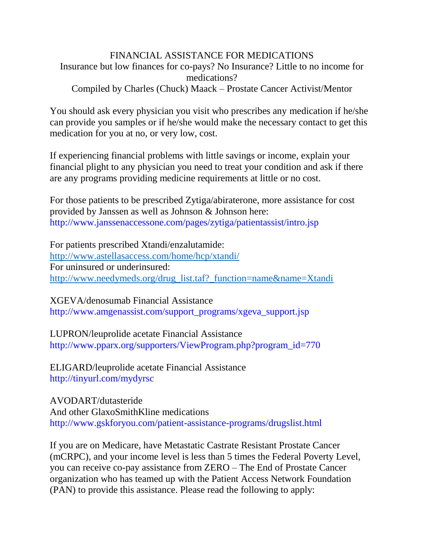## FINANCIAL ASSISTANCE FOR MEDICATIONS Insurance but low finances for co-pays? No Insurance? Little to no income for medications? Compiled by Charles (Chuck) Maack – Prostate Cancer Activist/Mentor

You should ask every physician you visit who prescribes any medication if he/she can provide you samples or if he/she would make the necessary contact to get this medication for you at no, or very low, cost.

If experiencing financial problems with little savings or income, explain your financial plight to any physician you need to treat your condition and ask if there are any programs providing medicine requirements at little or no cost.

For those patients to be prescribed Zytiga/abiraterone, more assistance for cost provided by Janssen as well as Johnson & Johnson here: http://www.janssenaccessone.com/pages/zytiga/patientassist/intro.jsp

For patients prescribed Xtandi/enzalutamide: <http://www.astellasaccess.com/home/hcp/xtandi/> For uninsured or underinsured: http://www.needymeds.org/drug\_list.taf? function=name&name=Xtandi

XGEVA/denosumab Financial Assistance http://www.amgenassist.com/support\_programs/xgeva\_support.jsp

LUPRON/leuprolide acetate Financial Assistance http://www.pparx.org/supporters/ViewProgram.php?program\_id=770

ELIGARD/leuprolide acetate Financial Assistance http://tinyurl.com/mydyrsc

AVODART/dutasteride And other GlaxoSmithKline medications http://www.gskforyou.com/patient-assistance-programs/drugslist.html

If you are on Medicare, have Metastatic Castrate Resistant Prostate Cancer (mCRPC), and your income level is less than 5 times the Federal Poverty Level, you can receive co-pay assistance from ZERO – The End of Prostate Cancer organization who has teamed up with the Patient Access Network Foundation (PAN) to provide this assistance. Please read the following to apply: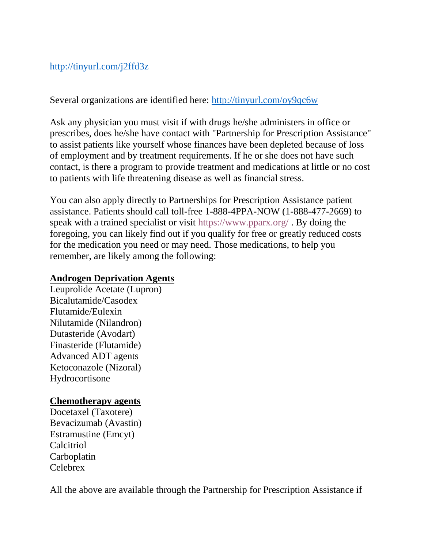## <http://tinyurl.com/j2ffd3z>

Several organizations are identified here:<http://tinyurl.com/oy9qc6w>

Ask any physician you must visit if with drugs he/she administers in office or prescribes, does he/she have contact with "Partnership for Prescription Assistance" to assist patients like yourself whose finances have been depleted because of loss of employment and by treatment requirements. If he or she does not have such contact, is there a program to provide treatment and medications at little or no cost to patients with life threatening disease as well as financial stress.

You can also apply directly to Partnerships for Prescription Assistance patient assistance. Patients should call toll-free 1-888-4PPA-NOW (1-888-477-2669) to speak with a trained specialist or visit<https://www.pparx.org/> . By doing the foregoing, you can likely find out if you qualify for free or greatly reduced costs for the medication you need or may need. Those medications, to help you remember, are likely among the following:

## **Androgen Deprivation Agents**

Leuprolide Acetate (Lupron) Bicalutamide/Casodex Flutamide/Eulexin Nilutamide (Nilandron) Dutasteride (Avodart) Finasteride (Flutamide) Advanced ADT agents Ketoconazole (Nizoral) Hydrocortisone

## **Chemotherapy agents**

Docetaxel (Taxotere) Bevacizumab (Avastin) Estramustine (Emcyt) Calcitriol Carboplatin Celebrex

All the above are available through the Partnership for Prescription Assistance if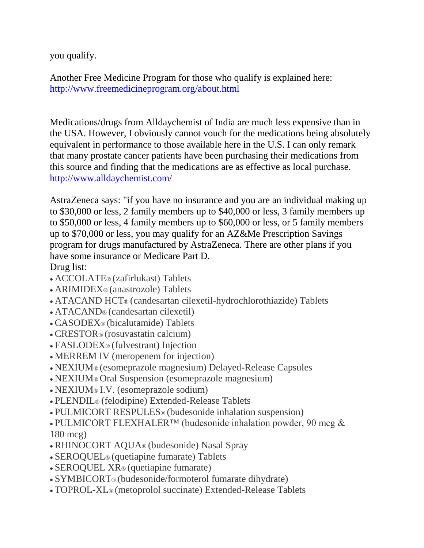you qualify.

Another Free Medicine Program for those who qualify is explained here: http://www.freemedicineprogram.org/about.html

Medications/drugs from Alldaychemist of India are much less expensive than in the USA. However, I obviously cannot vouch for the medications being absolutely equivalent in performance to those available here in the U.S. I can only remark that many prostate cancer patients have been purchasing their medications from this source and finding that the medications are as effective as local purchase. http://www.alldaychemist.com/

AstraZeneca says: "if you have no insurance and you are an individual making up to \$30,000 or less, 2 family members up to \$40,000 or less, 3 family members up to \$50,000 or less, 4 family members up to \$60,000 or less, or 5 family members up to \$70,000 or less, you may qualify for an AZ&Me Prescription Savings program for drugs manufactured by AstraZeneca. There are other plans if you have some insurance or Medicare Part D.

Drug list:

- ACCOLATE® (zafirlukast) Tablets
- ARIMIDEX® (anastrozole) Tablets
- ATACAND HCT® (candesartan cilexetil-hydrochlorothiazide) Tablets
- ATACAND® (candesartan cilexetil)
- CASODEX® (bicalutamide) Tablets
- CRESTOR® (rosuvastatin calcium)
- FASLODEX® (fulvestrant) Injection
- MERREM IV (meropenem for injection)
- NEXIUM® (esomeprazole magnesium) Delayed-Release Capsules
- NEXIUM® Oral Suspension (esomeprazole magnesium)
- NEXIUM® I.V. (esomeprazole sodium)
- PLENDIL® (felodipine) Extended-Release Tablets
- PULMICORT RESPULES® (budesonide inhalation suspension)
- PULMICORT FLEXHALER™ (budesonide inhalation powder, 90 mcg & 180 mcg)
- RHINOCORT AQUA® (budesonide) Nasal Spray
- SEROQUEL® (quetiapine fumarate) Tablets
- SEROQUEL XR® (quetiapine fumarate)
- SYMBICORT® (budesonide/formoterol fumarate dihydrate)
- TOPROL-XL® (metoprolol succinate) Extended-Release Tablets